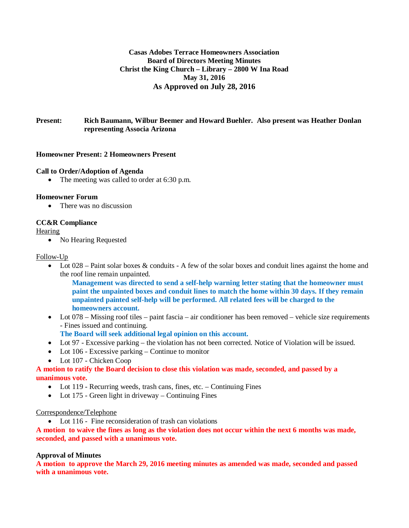# **Casas Adobes Terrace Homeowners Association Board of Directors Meeting Minutes Christ the King Church – Library – 2800 W Ina Road May 31, 2016 As Approved on July 28, 2016**

# **Present: Rich Baumann, Wilbur Beemer and Howard Buehler. Also present was Heather Donlan representing Associa Arizona**

## **Homeowner Present: 2 Homeowners Present**

#### **Call to Order/Adoption of Agenda**

• The meeting was called to order at 6:30 p.m.

### **Homeowner Forum**

• There was no discussion

## **CC&R Compliance**

**Hearing** 

• No Hearing Requested

### Follow-Up

• Lot  $028$  – Paint solar boxes & conduits - A few of the solar boxes and conduit lines against the home and the roof line remain unpainted.

**Management was directed to send a self-help warning letter stating that the homeowner must paint the unpainted boxes and conduit lines to match the home within 30 days. If they remain unpainted painted self-help will be performed. All related fees will be charged to the homeowners account.**

- Lot 078 Missing roof tiles paint fascia air conditioner has been removed vehicle size requirements - Fines issued and continuing.
	- **The Board will seek additional legal opinion on this account.**
- Lot 97 Excessive parking the violation has not been corrected. Notice of Violation will be issued.
- Lot 106 Excessive parking Continue to monitor
- Lot 107 Chicken Coop

## **A motion to ratify the Board decision to close this violation was made, seconded, and passed by a unanimous vote.**

- Lot 119 Recurring weeds, trash cans, fines, etc. Continuing Fines
- Lot 175 Green light in driveway Continuing Fines

#### Correspondence/Telephone

• Lot 116 - Fine reconsideration of trash can violations

**A motion to waive the fines as long as the violation does not occur within the next 6 months was made, seconded, and passed with a unanimous vote.**

#### **Approval of Minutes**

**A motion to approve the March 29, 2016 meeting minutes as amended was made, seconded and passed with a unanimous vote.**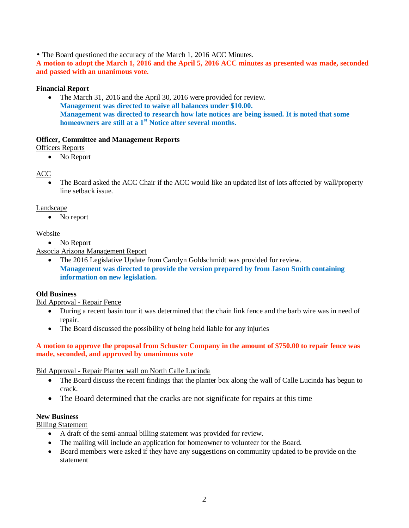• The Board questioned the accuracy of the March 1, 2016 ACC Minutes.

**A motion to adopt the March 1, 2016 and the April 5, 2016 ACC minutes as presented was made, seconded and passed with an unanimous vote.**

## **Financial Report**

• The March 31, 2016 and the April 30, 2016 were provided for review. **Management was directed to waive all balances under \$10.00. Management was directed to research how late notices are being issued. It is noted that some homeowners are still at a 1st Notice after several months.**

## **Officer, Committee and Management Reports**

Officers Reports

• No Report

# ACC

The Board asked the ACC Chair if the ACC would like an updated list of lots affected by wall/property line setback issue.

## Landscape

• No report

## Website

• No Report

Associa Arizona Management Report

The 2016 Legislative Update from Carolyn Goldschmidt was provided for review. **Management was directed to provide the version prepared by from Jason Smith containing information on new legislation.**

# **Old Business**

Bid Approval - Repair Fence

- During a recent basin tour it was determined that the chain link fence and the barb wire was in need of repair.
- The Board discussed the possibility of being held liable for any injuries

## **A motion to approve the proposal from Schuster Company in the amount of \$750.00 to repair fence was made, seconded, and approved by unanimous vote**

## Bid Approval - Repair Planter wall on North Calle Lucinda

- · The Board discuss the recent findings that the planter box along the wall of Calle Lucinda has begun to crack.
- The Board determined that the cracks are not significate for repairs at this time

## **New Business**

Billing Statement

- · A draft of the semi-annual billing statement was provided for review.
- The mailing will include an application for homeowner to volunteer for the Board.
- · Board members were asked if they have any suggestions on community updated to be provide on the statement